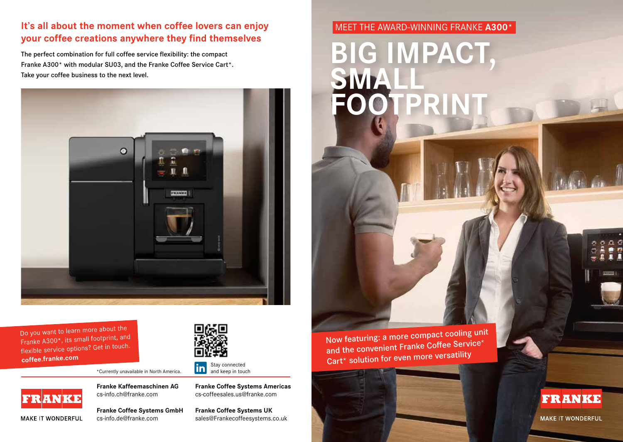## **It's all about the moment when coffee lovers can enjoy your coffee creations anywhere they find themselves**

The perfect combination for full coffee service flexibility: the compact Franke A300\* with modular SU03, and the Franke Coffee Service Cart\*. Take your coffee business to the next level.



Do you want to learn more about the Franke A300\*, its small footprint, and flexible service options? Get in touch. **coffee.franke.com**



\*Currently unavailable in North America.

**FRANKE** 

MAKE IT WONDERFUL

**Franke Kaffeemaschinen AG** cs-info.ch@franke.com

**Franke Coffee Systems GmbH** cs-info.de@franke.com

Stay connected lin and keep in touch

**Franke Coffee Systems Americas** cs-coffeesales.us@franke.com

**Franke Coffee Systems UK** sales@Frankecoffeesystems.co.uk MEET THE AWARD-WINNING FRANKE **A300**\*

**BIG IMPACT, SMALL OTPRIN** 

Now featuring: a more compact cooling unit and the convenient Franke Coffee Service\* Cart\* solution for even more versatility



**FRANKE** 

**MAKE IT WONDERFUL**